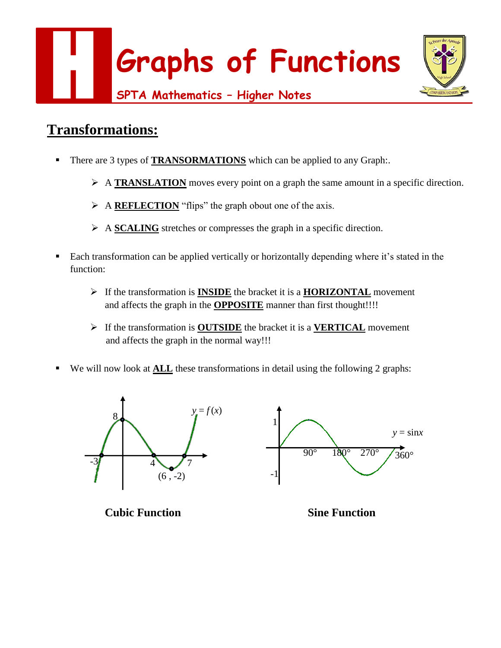

# **Transformations:**

- There are 3 types of **TRANSORMATIONS** which can be applied to any Graph:.
	- A **TRANSLATION** moves every point on a graph the same amount in a specific direction.
	- A **REFLECTION** "flips" the graph obout one of the axis.
	- A **SCALING** stretches or compresses the graph in a specific direction.
- Each transformation can be applied vertically or horizontally depending where it's stated in the function:
	- If the transformation is **INSIDE** the bracket it is a **HORIZONTAL** movement and affects the graph in the **OPPOSITE** manner than first thought!!!!
	- If the transformation is **OUTSIDE** the bracket it is a **VERTICAL** movement and affects the graph in the normal way!!!
- We will now look at **ALL** these transformations in detail using the following 2 graphs:

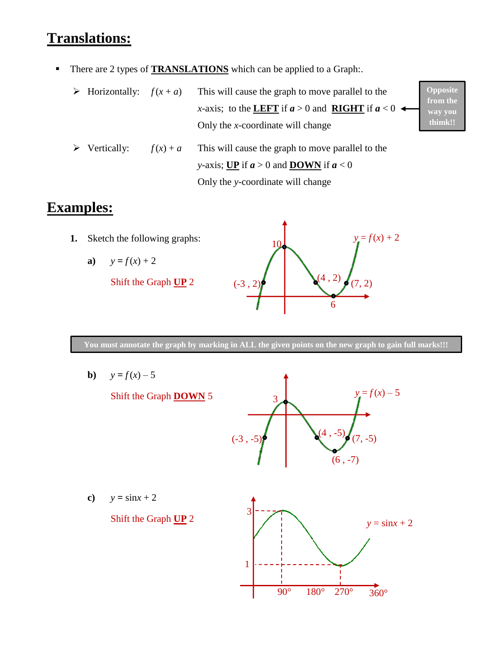### **Translations:**

There are 2 types of **TRANSLATIONS** which can be applied to a Graph:.

 $\triangleright$  Horizontally:  $f(x + a)$  This will cause the graph to move parallel to the *x*-axis; to the **LEFT** if  $a > 0$  and **RIGHT** if  $a < 0$ Only the *x*-coordinate will change

**Opposite from the way you thimk!!**

 $\triangleright$  Vertically:  $f(x) + a$  This will cause the graph to move parallel to the *y*-axis; **UP** if  $a > 0$  and **DOWN** if  $a < 0$ Only the *y*-coordinate will change

#### **Examples:**



**You must annotate the graph by marking in ALL the given points on the new graph to gain full marks!!!**

**b**)  $y = f(x) - 5$ Shift the Graph **DOWN** 5 **c**)  $y = \sin x + 2$ Shift the Graph **UP** 2  $(6, -7)$  $(-3, -5)$   $\bullet$   $(4, -5)$   $\bullet$   $(7, -5)$ 3 3 1  $y = \sin x + 2$ 

90° 180° 270° 360°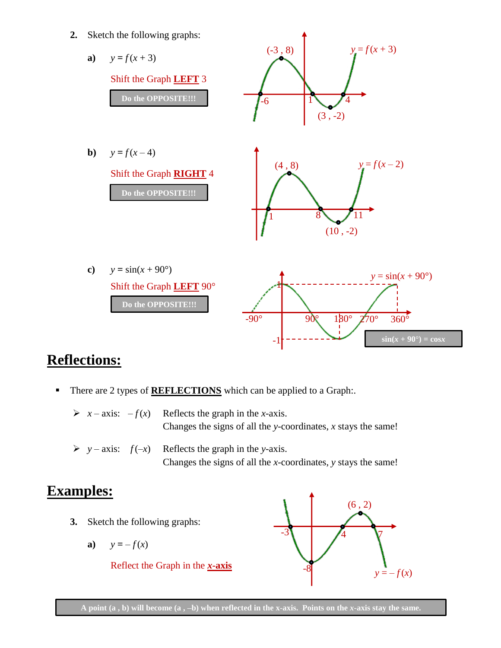**2.** Sketch the following graphs:



### **Reflections:**

- There are 2 types of **REFLECTIONS** which can be applied to a Graph:.
	- $\triangleright$  *x* axis:  $-f(x)$  Reflects the graph in the *x*-axis. Changes the signs of all the *y*-coordinates, *x* stays the same!
	- $\triangleright$  *y* axis: *f* (–*x*) Reflects the graph in the *y*-axis. Changes the signs of all the *x*-coordinates, *y* stays the same!

#### **Examples:**

- **3.** Sketch the following graphs:
	- **a**)  $y = -f(x)$

Reflect the Graph in the *x***-axis**

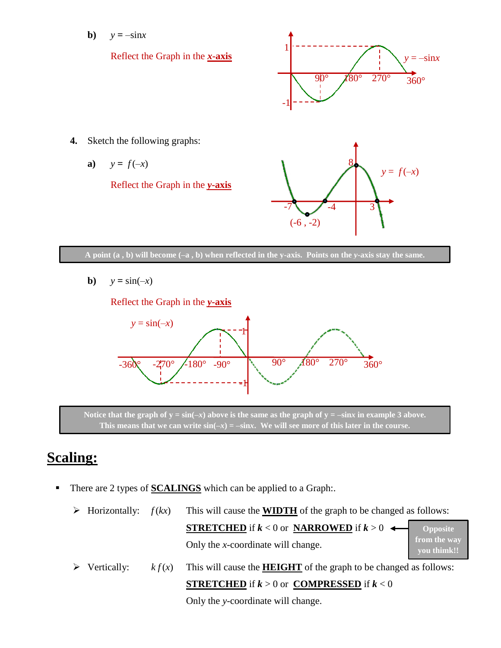

**A point (a , b) will become (–a , b) when reflected in the y-axis. Points on the** *y***-axis stay the same.**

**b**)  $y = \sin(-x)$ 

Reflect the Graph in the *y***-axis**



Notice that the graph of  $y = sin(-x)$  above is the same as the graph of  $y = -sinx$  in example 3 above. This means that we can write  $sin(-x) = -sinx$ . We will see more of this later in the course.

# **Scaling:**

There are 2 types of **SCALINGS** which can be applied to a Graph:.

|   | $\triangleright$ Horizontally: | f(kx) | This will cause the <b>WIDTH</b> of the graph to be changed as follows:  |                                 |
|---|--------------------------------|-------|--------------------------------------------------------------------------|---------------------------------|
|   |                                |       | <b>STRETCHED</b> if $k < 0$ or <b>NARROWED</b> if $k > 0$                | <b>Opposite</b><br>from the way |
|   | Vertically:                    | kf(x) | Only the <i>x</i> -coordinate will change.                               | you thimk!!                     |
| ➤ |                                |       | This will cause the <b>HEIGHT</b> of the graph to be changed as follows: |                                 |
|   |                                |       | <b>STRETCHED</b> if $k > 0$ or <b>COMPRESSED</b> if $k < 0$              |                                 |
|   |                                |       | Only the y-coordinate will change.                                       |                                 |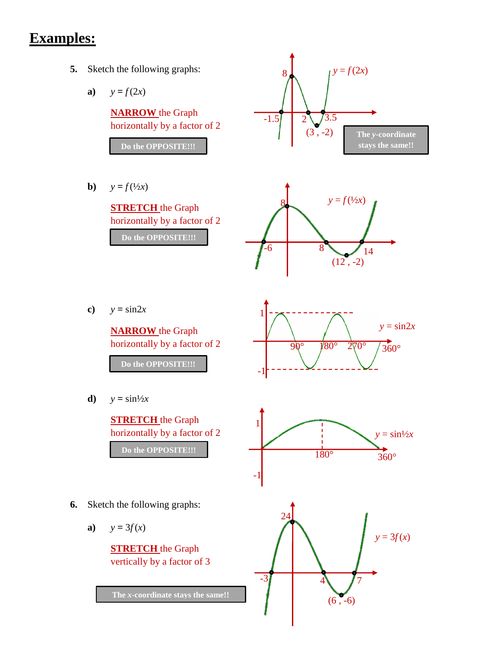# **Examples:**

- **5.** Sketch the following graphs:
	- **a**)  $y = f(2x)$

**NARROW** the Graph horizontally by a factor of 2

**Do the OPPOSITE!!!**



**b**)  $y = f(\frac{1}{2}x)$ 

**STRETCH** the Graph horizontally by a factor of 2 **Do the OPPOSITE!!!**



**c**)  $y = \sin 2x$ 

**NARROW** the Graph horizontally by a factor of 2

**Do the OPPOSITE!!!**



**d**)  $y = \sin \frac{1}{2}x$ 

**STRETCH** the Graph horizontally by a factor of 2 **Do the OPPOSITE!!!**



 $y = 3f(x)$ 

 $-3$  |  $\lambda$   $7$ 

24

- **6.** Sketch the following graphs:
	- **a**)  $y = 3f(x)$

**STRETCH** the Graph vertically by a factor of 3

The *x*-coordinate stays the same!!  $(6, -6)$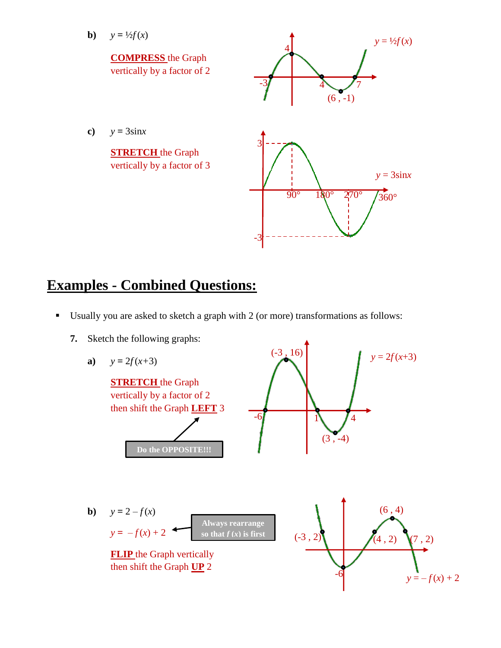



#### **Examples - Combined Questions:**

- Usually you are asked to sketch a graph with 2 (or more) transformations as follows:
	- **7.** Sketch the following graphs:

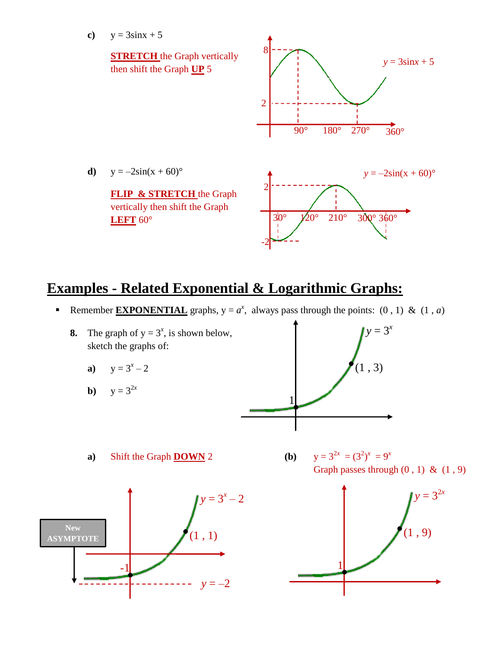**c**)  $y = 3\sin x + 5$ 



#### **Examples - Related Exponential & Logarithmic Graphs:**

Remember **EXPONENTIAL** graphs,  $y = a^x$ , always pass through the points: (0, 1) & (1, *a*)

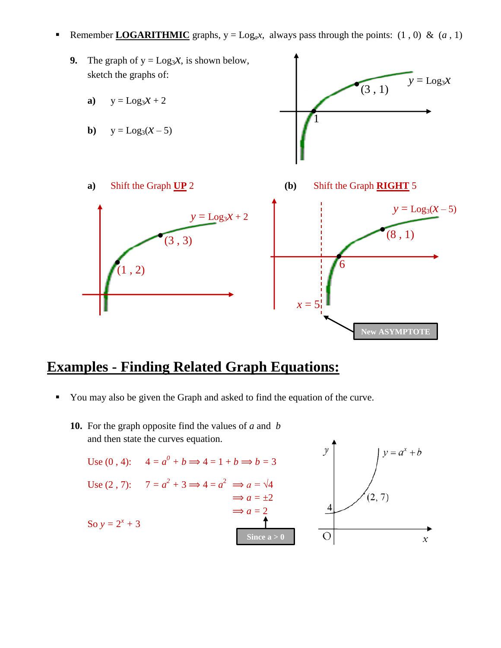Remember **LOGARITHMIC** graphs,  $y = Log_a x$ , always pass through the points: (1,0) & (*a*, 1)



## **Examples - Finding Related Graph Equations:**

- You may also be given the Graph and asked to find the equation of the curve.
	- **10.** For the graph opposite find the values of *a* and *b* and then state the curves equation.